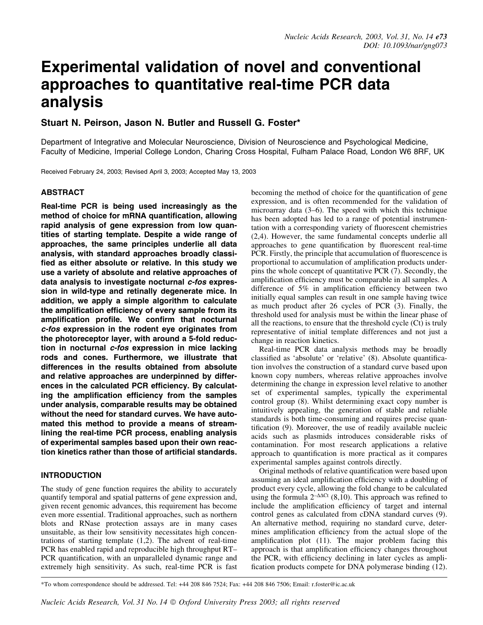# Experimental validation of novel and conventional approaches to quantitative real-time PCR data analysis

# Stuart N. Peirson, Jason N. Butler and Russell G. Foster\*

Department of Integrative and Molecular Neuroscience, Division of Neuroscience and Psychological Medicine, Faculty of Medicine, Imperial College London, Charing Cross Hospital, Fulham Palace Road, London W6 8RF, UK

Received February 24, 2003; Revised April 3, 2003; Accepted May 13, 2003

# ABSTRACT

Real-time PCR is being used increasingly as the method of choice for mRNA quantification, allowing rapid analysis of gene expression from low quantities of starting template. Despite a wide range of approaches, the same principles underlie all data analysis, with standard approaches broadly classi fied as either absolute or relative. In this study we use a variety of absolute and relative approaches of data analysis to investigate nocturnal c-fos expression in wild-type and retinally degenerate mice. In addition, we apply a simple algorithm to calculate the amplification efficiency of every sample from its amplification profile. We confirm that nocturnal c-fos expression in the rodent eye originates from the photoreceptor layer, with around a 5-fold reduction in nocturnal *c-fos* expression in mice lacking rods and cones. Furthermore, we illustrate that differences in the results obtained from absolute and relative approaches are underpinned by differences in the calculated PCR efficiency. By calculating the amplification efficiency from the samples under analysis, comparable results may be obtained without the need for standard curves. We have automated this method to provide a means of streamlining the real-time PCR process, enabling analysis of experimental samples based upon their own reaction kinetics rather than those of artificial standards.

# INTRODUCTION

The study of gene function requires the ability to accurately quantify temporal and spatial patterns of gene expression and, given recent genomic advances, this requirement has become even more essential. Traditional approaches, such as northern blots and RNase protection assays are in many cases unsuitable, as their low sensitivity necessitates high concentrations of starting template  $(1,2)$ . The advent of real-time PCR has enabled rapid and reproducible high throughput RT $-$ PCR quantification, with an unparalleled dynamic range and extremely high sensitivity. As such, real-time PCR is fast

becoming the method of choice for the quantification of gene expression, and is often recommended for the validation of microarray data  $(3-6)$ . The speed with which this technique has been adopted has led to a range of potential instrumentation with a corresponding variety of fluorescent chemistries (2,4). However, the same fundamental concepts underlie all approaches to gene quantification by fluorescent real-time PCR. Firstly, the principle that accumulation of fluorescence is proportional to accumulation of amplification products underpins the whole concept of quantitative PCR (7). Secondly, the amplification efficiency must be comparable in all samples. A difference of  $5\%$  in amplification efficiency between two initially equal samples can result in one sample having twice as much product after 26 cycles of PCR (3). Finally, the threshold used for analysis must be within the linear phase of all the reactions, to ensure that the threshold cycle (Ct) is truly representative of initial template differences and not just a change in reaction kinetics.

Real-time PCR data analysis methods may be broadly classified as 'absolute' or 'relative' (8). Absolute quantification involves the construction of a standard curve based upon known copy numbers, whereas relative approaches involve determining the change in expression level relative to another set of experimental samples, typically the experimental control group (8). Whilst determining exact copy number is intuitively appealing, the generation of stable and reliable standards is both time-consuming and requires precise quantification (9). Moreover, the use of readily available nucleic acids such as plasmids introduces considerable risks of contamination. For most research applications a relative approach to quantification is more practical as it compares experimental samples against controls directly.

Original methods of relative quantification were based upon assuming an ideal amplification efficiency with a doubling of product every cycle, allowing the fold change to be calculated using the formula  $2-\Delta\Delta ct$  (8,10). This approach was refined to include the amplification efficiency of target and internal control genes as calculated from cDNA standard curves (9). An alternative method, requiring no standard curve, determines amplification efficiency from the actual slope of the amplification plot (11). The major problem facing this approach is that amplification efficiency changes throughout the PCR, with efficiency declining in later cycles as amplification products compete for DNA polymerase binding (12).

\*To whom correspondence should be addressed. Tel: +44 208 846 7524; Fax: +44 208 846 7506; Email: r.foster@ic.ac.uk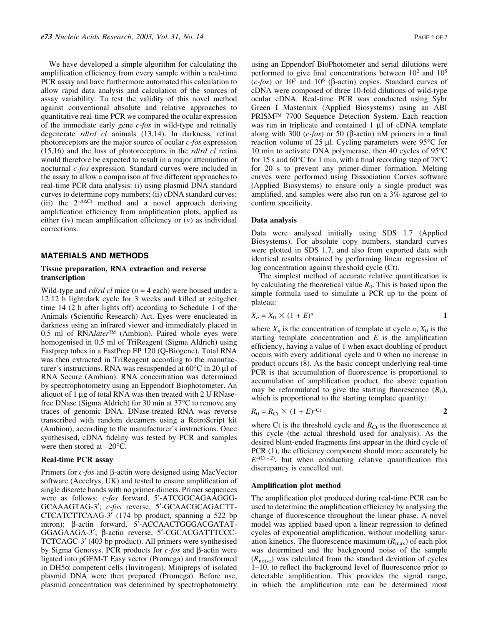We have developed a simple algorithm for calculating the amplification efficiency from every sample within a real-time PCR assay and have furthermore automated this calculation to allow rapid data analysis and calculation of the sources of assay variability. To test the validity of this novel method against conventional absolute and relative approaches to quantitative real-time PCR we compared the ocular expression of the immediate early gene c-fos in wild-type and retinally degenerate rd/rd cl animals (13,14). In darkness, retinal photoreceptors are the major source of ocular c-fos expression  $(15,16)$  and the loss of photoreceptors in the *rd/rd cl* retina would therefore be expected to result in a major attenuation of nocturnal c-fos expression. Standard curves were included in the assay to allow a comparison of five different approaches to real-time PCR data analysis: (i) using plasmid DNA standard curves to determine copy numbers; (ii) cDNA standard curves; (iii) the  $2-\Delta\Delta Ct$  method and a novel approach deriving amplification efficiency from amplification plots, applied as either (iv) mean amplification efficiency or  $(v)$  as individual corrections.

#### MATERIALS AND METHODS

## Tissue preparation, RNA extraction and reverse transcription

Wild-type and *rd/rd cl* mice  $(n = 4$  each) were housed under a 12:12 h light:dark cycle for 3 weeks and killed at zeitgeber time 14 (2 h after lights off) according to Schedule 1 of the Animals (Scientific Research) Act. Eyes were enucleated in darkness using an infrared viewer and immediately placed in 0.5 ml of RNAlater<sup>™</sup> (Ambion). Paired whole eyes were homogenised in 0.5 ml of TriReagent (Sigma Aldrich) using Fastprep tubes in a FastPrep FP 120 (Q-Biogene). Total RNA was then extracted in TriReagent according to the manufacturer's instructions. RNA was resuspended at  $60^{\circ}$ C in 20 µl of RNA Secure (Ambion). RNA concentration was determined by spectrophotometry using an Eppendorf Biophotometer. An aliquot of 1  $\mu$ g of total RNA was then treated with 2 U RNasefree DNase (Sigma Aldrich) for 30 min at 37°C to remove any traces of genomic DNA. DNase-treated RNA was reverse transcribed with random decamers using a RetroScript kit (Ambion), according to the manufacturer's instructions. Once synthesised, cDNA fidelity was tested by PCR and samples were then stored at  $-20^{\circ}$ C.

## Real-time PCR assay

Primers for  $c$ -fos and  $\beta$ -actin were designed using MacVector software (Accelrys, UK) and tested to ensure amplification of single discrete bands with no primer-dimers. Primer sequences were as follows: c-fos forward, 5'-ATCGGCAGAAGGG-GCAAAGTAG-3'; c-fos reverse, 5'-GCAACGCAGACTT-CTCATCTTCAAG-3' (174 bp product, spanning a 522 bp intron); β-actin forward, 5'-ACCAACTGGGACGATAT-GGAGAAGA-3'; β-actin reverse, 5'-CGCACGATTTCCC-TCTCAGC-3' (403 bp product). All primers were synthesised by Sigma Genosys. PCR products for  $c$ -fos and  $\beta$ -actin were ligated into pGEM-T Easy vector (Promega) and transformed in  $DH5\alpha$  competent cells (Invitrogen). Minipreps of isolated plasmid DNA were then prepared (Promega). Before use, plasmid concentration was determined by spectrophotometry using an Eppendorf BioPhotometer and serial dilutions were performed to give final concentrations between  $10^2$  and  $10^5$  $(c-fos)$  or  $10<sup>3</sup>$  and  $10<sup>6</sup>$  ( $\beta$ -actin) copies. Standard curves of cDNA were composed of three 10-fold dilutions of wild-type ocular cDNA. Real-time PCR was conducted using Sybr Green I Mastermix (Applied Biosystems) using an ABI PRISM<sup>TM</sup> 7700 Sequence Detection System. Each reaction was run in triplicate and contained  $1 \mu l$  of cDNA template along with 300 ( $c$ -fos) or 50 ( $\beta$ -actin) nM primers in a final reaction volume of 25  $\mu$ l. Cycling parameters were 95 $\degree$ C for 10 min to activate DNA polymerase, then 40 cycles of 95°C for 15 s and 60 $\degree$ C for 1 min, with a final recording step of 78 $\degree$ C for 20 s to prevent any primer-dimer formation. Melting curves were performed using Dissociation Curves software (Applied Biosystems) to ensure only a single product was amplified, and samples were also run on a 3% agarose gel to confirm specificity.

#### Data analysis

Data were analysed initially using SDS 1.7 (Applied Biosystems). For absolute copy numbers, standard curves were plotted in SDS 1.7, and also from exported data with identical results obtained by performing linear regression of log concentration against threshold cycle (Ct).

The simplest method of accurate relative quantification is by calculating the theoretical value  $R_0$ . This is based upon the simple formula used to simulate a PCR up to the point of plateau:

$$
X_n = X_0 \times (1 + E)^n \tag{1}
$$

where  $X_n$  is the concentration of template at cycle n,  $X_0$  is the starting template concentration and  $E$  is the amplification efficiency, having a value of 1 when exact doubling of product occurs with every additional cycle and 0 when no increase in product occurs (8). As the basic concept underlying real-time PCR is that accumulation of fluorescence is proportional to accumulation of amplification product, the above equation may be reformulated to give the starting fluorescence  $(R_0)$ , which is proportional to the starting template quantity:

$$
R_0 = R_{\rm Ct} \times (1 + E)^{-Ct}
$$

where Ct is the threshold cycle and  $R_{\text{Ct}}$  is the fluorescence at this cycle (the actual threshold used for analysis). As the desired blunt-ended fragments first appear in the third cycle of PCR  $(1)$ , the efficiency component should more accurately be  $E^{-(Ct-2)}$ , but when conducting relative quantification this discrepancy is cancelled out.

## Amplification plot method

The amplification plot produced during real-time PCR can be used to determine the amplification efficiency by analysing the change of fluorescence throughout the linear phase. A novel model was applied based upon a linear regression to defined cycles of exponential amplification, without modelling saturation kinetics. The fluorescence maximum  $(R_{\text{max}})$  of each plot was determined and the background noise of the sample  $(R_{noise})$  was calculated from the standard deviation of cycles  $1-10$ , to reflect the background level of fluorescence prior to detectable amplification. This provides the signal range, in which the amplification rate can be determined most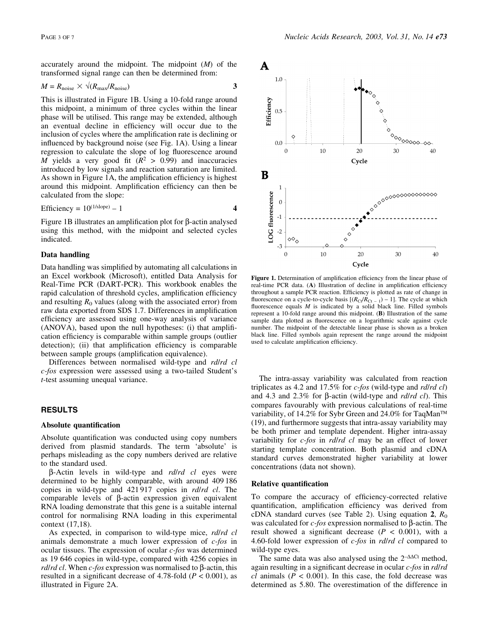accurately around the midpoint. The midpoint  $(M)$  of the transformed signal range can then be determined from:

$$
M = R_{\text{noise}} \times \sqrt{(R_{\text{max}}/R_{\text{noise}})}
$$

This is illustrated in Figure 1B. Using a 10-fold range around this midpoint, a minimum of three cycles within the linear phase will be utilised. This range may be extended, although an eventual decline in efficiency will occur due to the inclusion of cycles where the amplification rate is declining or influenced by background noise (see Fig. 1A). Using a linear regression to calculate the slope of log fluorescence around M yields a very good fit  $(R^2 > 0.99)$  and inaccuracies introduced by low signals and reaction saturation are limited. As shown in Figure 1A, the amplification efficiency is highest around this midpoint. Amplification efficiency can then be calculated from the slope:

$$
Efficiency = 10^{(1/slope)} - 1
$$

Figure 1B illustrates an amplification plot for  $\beta$ -actin analysed using this method, with the midpoint and selected cycles indicated.

## Data handling

Data handling was simplified by automating all calculations in an Excel workbook (Microsoft), entitled Data Analysis for Real-Time PCR (DART-PCR). This workbook enables the rapid calculation of threshold cycles, amplification efficiency and resulting  $R_0$  values (along with the associated error) from raw data exported from SDS 1.7. Differences in amplification efficiency are assessed using one-way analysis of variance (ANOVA), based upon the null hypotheses: (i) that amplification efficiency is comparable within sample groups (outlier detection); (ii) that amplification efficiency is comparable between sample groups (amplification equivalence).

Differences between normalised wild-type and rd/rd cl c-fos expression were assessed using a two-tailed Student's t-test assuming unequal variance.

## RESULTS

#### Absolute quantification

Absolute quantification was conducted using copy numbers derived from plasmid standards. The term `absolute' is perhaps misleading as the copy numbers derived are relative to the standard used.

 $\beta$ -Actin levels in wild-type and *rd/rd cl* eyes were determined to be highly comparable, with around 409 186 copies in wild-type and 421 917 copies in rd/rd cl. The comparable levels of  $\beta$ -actin expression given equivalent RNA loading demonstrate that this gene is a suitable internal control for normalising RNA loading in this experimental context (17,18).

As expected, in comparison to wild-type mice, rd/rd cl animals demonstrate a much lower expression of c-fos in ocular tissues. The expression of ocular  $c$ -fos was determined as 19 646 copies in wild-type, compared with 4256 copies in *rd/rd cl.* When *c*-fos expression was normalised to  $\beta$ -actin, this resulted in a significant decrease of 4.78-fold ( $P < 0.001$ ), as illustrated in Figure 2A.



Figure 1. Determination of amplification efficiency from the linear phase of real-time PCR data. (A) Illustration of decline in amplification efficiency throughout a sample PCR reaction. Efficiency is plotted as rate of change in fluorescence on a cycle-to-cycle basis  $[(R_{\text{Ct}}/R_{\text{Ct}}-1)-1]$ . The cycle at which fluorescence equals  $M$  is indicated by a solid black line. Filled symbols represent a 10-fold range around this midpoint. (B) Illustration of the same sample data plotted as fluorescence on a logarithmic scale against cycle number. The midpoint of the detectable linear phase is shown as a broken black line. Filled symbols again represent the range around the midpoint used to calculate amplification efficiency.

The intra-assay variability was calculated from reaction triplicates as 4.2 and 17.5% for  $c$ -fos (wild-type and *rd/rd cl*) and 4.3 and 2.3% for  $\beta$ -actin (wild-type and *rd/rd cl*). This compares favourably with previous calculations of real-time variability, of 14.2% for Sybr Green and 24.0% for TaqMan<sup>™</sup> (19), and furthermore suggests that intra-assay variability may be both primer and template dependent. Higher intra-assay variability for *c-fos* in *rd*/rd *cl* may be an effect of lower starting template concentration. Both plasmid and cDNA standard curves demonstrated higher variability at lower concentrations (data not shown).

#### Relative quantification

To compare the accuracy of efficiency-corrected relative quantification, amplification efficiency was derived from cDNA standard curves (see Table 2). Using equation 2,  $R_0$ was calculated for  $c$ -fos expression normalised to  $\beta$ -actin. The result showed a significant decrease ( $P < 0.001$ ), with a 4.60-fold lower expression of c-fos in rd/rd cl compared to wild-type eyes.

The same data was also analysed using the  $2-\Delta\Delta$ Ct method, again resulting in a significant decrease in ocular  $c$ -fos in rd/rd  $cl$  animals ( $P < 0.001$ ). In this case, the fold decrease was determined as 5.80. The overestimation of the difference in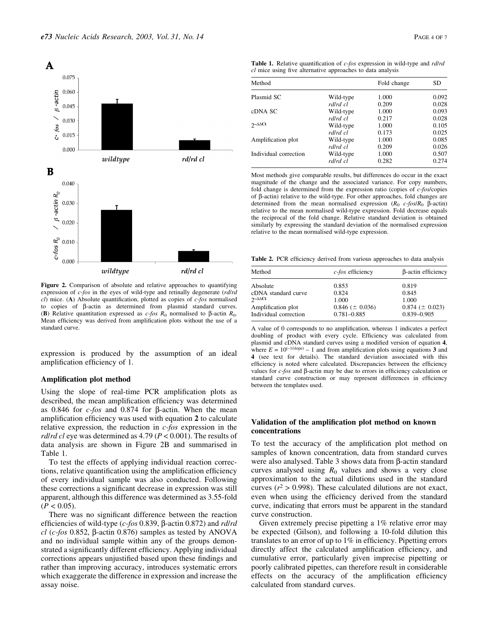

Figure 2. Comparison of absolute and relative approaches to quantifying expression of c-fos in the eyes of wild-type and retinally degenerate (rd/rd  $cl$ ) mice. (A) Absolute quantification, plotted as copies of  $c$ -fos normalised to copies of b-actin as determined from plasmid standard curves. (B) Relative quantitation expressed as c-fos  $R_0$  normalised to  $\beta$ -actin  $R_0$ . Mean efficiency was derived from amplification plots without the use of a standard curve.

expression is produced by the assumption of an ideal amplification efficiency of 1.

## Amplification plot method

Using the slope of real-time PCR amplification plots as described, the mean amplification efficiency was determined as 0.846 for *c-fos* and 0.874 for  $\beta$ -actin. When the mean amplification efficiency was used with equation 2 to calculate relative expression, the reduction in c-fos expression in the *rd/rd cl* eye was determined as 4.79 ( $P < 0.001$ ). The results of data analysis are shown in Figure 2B and summarised in Table 1.

To test the effects of applying individual reaction corrections, relative quantification using the amplification efficiency of every individual sample was also conducted. Following these corrections a significant decrease in expression was still apparent, although this difference was determined as 3.55-fold  $(P < 0.05)$ .

There was no significant difference between the reaction efficiencies of wild-type (c-fos 0.839,  $\beta$ -actin 0.872) and *rd/rd* cl (c-fos 0.852,  $\beta$ -actin 0.876) samples as tested by ANOVA and no individual sample within any of the groups demonstrated a significantly different efficiency. Applying individual corrections appears unjustified based upon these findings and rather than improving accuracy, introduces systematic errors which exaggerate the difference in expression and increase the assay noise.

| <b>Table 1.</b> Relative quantification of c-fos expression in wild-type and <i>rd/rd</i> |
|-------------------------------------------------------------------------------------------|
| <i>cl</i> mice using five alternative approaches to data analysis                         |

| Method                  |           | Fold change | SD    |
|-------------------------|-----------|-------------|-------|
| Plasmid SC              | Wild-type | 1.000       | 0.092 |
|                         | rd/rd cl  | 0.209       | 0.028 |
| cDNA SC                 | Wild-type | 1.000       | 0.093 |
|                         | rd/rd cl  | 0.217       | 0.028 |
| $2 - \Delta \Delta C t$ | Wild-type | 1.000       | 0.105 |
|                         | rd/rd cl  | 0.173       | 0.025 |
| Amplification plot      | Wild-type | 1.000       | 0.085 |
|                         | rd/rd cl  | 0.209       | 0.026 |
| Individual correction   | Wild-type | 1.000       | 0.507 |
|                         | rd/rd cl  | 0.282       | 0.274 |

Most methods give comparable results, but differences do occur in the exact magnitude of the change and the associated variance. For copy numbers, fold change is determined from the expression ratio (copies of c-fos/copies of  $\beta$ -actin) relative to the wild-type. For other approaches, fold changes are determined from the mean normalised expression  $(R_0 \ c\text{-}fos/R_0 \ \beta\text{-actin})$ relative to the mean normalised wild-type expression. Fold decrease equals the reciprocal of the fold change. Relative standard deviation is obtained similarly by expressing the standard deviation of the normalised expression relative to the mean normalised wild-type expression.

Table 2. PCR efficiency derived from various approaches to data analysis

| Method                  | $c$ -fos efficiency   | β-actin efficiency    |  |
|-------------------------|-----------------------|-----------------------|--|
| Absolute                | 0.853                 | 0.819                 |  |
| cDNA standard curve     | 0.824                 | 0.845                 |  |
| $2 - \Delta \Delta C t$ | 1.000                 | 1.000                 |  |
| Amplification plot      | $0.846 \ (\pm 0.036)$ | $0.874 \ (\pm 0.023)$ |  |
| Individual correction   | $0.781 - 0.885$       | $0.839 - 0.905$       |  |

A value of 0 corresponds to no amplification, whereas 1 indicates a perfect doubling of product with every cycle. Efficiency was calculated from plasmid and cDNA standard curves using a modified version of equation 4, where  $E = 10^{(-1/\text{slope})} - 1$  and from amplification plots using equations 3 and 4 (see text for details). The standard deviation associated with this efficiency is noted where calculated. Discrepancies between the efficiency values for  $c$ -fos and  $\beta$ -actin may be due to errors in efficiency calculation or standard curve construction or may represent differences in efficiency between the templates used.

## Validation of the amplification plot method on known concentrations

To test the accuracy of the amplification plot method on samples of known concentration, data from standard curves were also analysed. Table 3 shows data from  $\beta$ -actin standard curves analysed using  $R_0$  values and shows a very close approximation to the actual dilutions used in the standard curves ( $r^2 > 0.998$ ). These calculated dilutions are not exact, even when using the efficiency derived from the standard curve, indicating that errors must be apparent in the standard curve construction.

Given extremely precise pipetting a 1% relative error may be expected (Gilson), and following a 10-fold dilution this translates to an error of up to  $1\%$  in efficiency. Pipetting errors directly affect the calculated amplification efficiency, and cumulative error, particularly given imprecise pipetting or poorly calibrated pipettes, can therefore result in considerable effects on the accuracy of the amplification efficiency calculated from standard curves.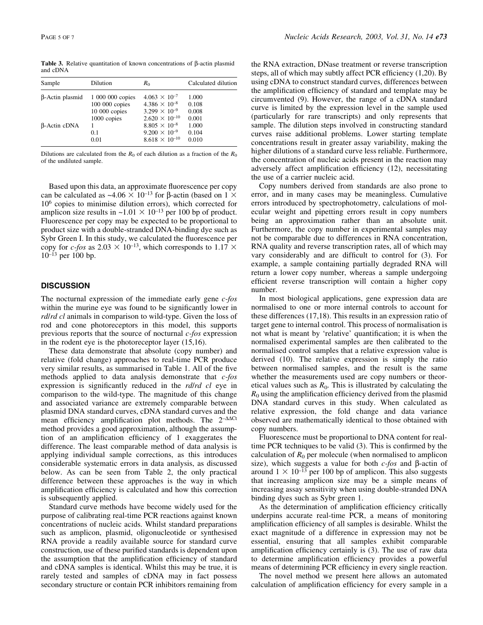Table 3. Relative quantitation of known concentrations of B-actin plasmid and cDNA

| Sample                 | Dilution         | $R_{0}$                 | Calculated dilution |
|------------------------|------------------|-------------------------|---------------------|
| $\beta$ -Actin plasmid | 1 000 000 copies | $4.063 \times 10^{-7}$  | 1.000               |
|                        | 100 000 copies   | $4.386 \times 10^{-8}$  | 0.108               |
|                        | $10000$ copies   | $3.299 \times 10^{-9}$  | 0.008               |
|                        | 1000 copies      | $2.620 \times 10^{-10}$ | 0.001               |
| $\beta$ -Actin cDNA    |                  | $8.805 \times 10^{-8}$  | 1.000               |
|                        | 0.1              | $9.200 \times 10^{-9}$  | 0.104               |
|                        | 0.01             | $8.618 \times 10^{-10}$ | 0.010               |
|                        |                  |                         |                     |

Dilutions are calculated from the  $R_0$  of each dilution as a fraction of the  $R_0$ of the undiluted sample.

Based upon this data, an approximate fluorescence per copy can be calculated as  $\sim$ 4.06  $\times$  10<sup>-13</sup> for  $\beta$ -actin (based on 1  $\times$  $10<sup>6</sup>$  copies to minimise dilution errors), which corrected for amplicon size results in  $\sim$ 1.01  $\times$  10<sup>-13</sup> per 100 bp of product. Fluorescence per copy may be expected to be proportional to product size with a double-stranded DNA-binding dye such as Sybr Green I. In this study, we calculated the fluorescence per copy for c-fos as  $2.03 \times 10^{-13}$ , which corresponds to  $1.17 \times$  $10^{-13}$  per 100 bp.

## **DISCUSSION**

The nocturnal expression of the immediate early gene  $c$ -fos within the murine eye was found to be significantly lower in *rd/rd cl* animals in comparison to wild-type. Given the loss of rod and cone photoreceptors in this model, this supports previous reports that the source of nocturnal c-fos expression in the rodent eye is the photoreceptor layer (15,16).

These data demonstrate that absolute (copy number) and relative (fold change) approaches to real-time PCR produce very similar results, as summarised in Table 1. All of the five methods applied to data analysis demonstrate that  $c$ -fos expression is significantly reduced in the *rd/rd cl* eye in comparison to the wild-type. The magnitude of this change and associated variance are extremely comparable between plasmid DNA standard curves, cDNA standard curves and the mean efficiency amplification plot methods. The  $2-\Delta\Delta$ Ct method provides a good approximation, although the assumption of an amplification efficiency of 1 exaggerates the difference. The least comparable method of data analysis is applying individual sample corrections, as this introduces considerable systematic errors in data analysis, as discussed below. As can be seen from Table 2, the only practical difference between these approaches is the way in which amplification efficiency is calculated and how this correction is subsequently applied.

Standard curve methods have become widely used for the purpose of calibrating real-time PCR reactions against known concentrations of nucleic acids. Whilst standard preparations such as amplicon, plasmid, oligonucleotide or synthesised RNA provide a readily available source for standard curve construction, use of these purified standards is dependent upon the assumption that the amplification efficiency of standard and cDNA samples is identical. Whilst this may be true, it is rarely tested and samples of cDNA may in fact possess secondary structure or contain PCR inhibitors remaining from the RNA extraction, DNase treatment or reverse transcription steps, all of which may subtly affect PCR efficiency  $(1,20)$ . By using cDNA to construct standard curves, differences between the amplification efficiency of standard and template may be circumvented (9). However, the range of a cDNA standard curve is limited by the expression level in the sample used (particularly for rare transcripts) and only represents that sample. The dilution steps involved in constructing standard curves raise additional problems. Lower starting template concentrations result in greater assay variability, making the higher dilutions of a standard curve less reliable. Furthermore, the concentration of nucleic acids present in the reaction may adversely affect amplification efficiency (12), necessitating the use of a carrier nucleic acid.

Copy numbers derived from standards are also prone to error, and in many cases may be meaningless. Cumulative errors introduced by spectrophotometry, calculations of molecular weight and pipetting errors result in copy numbers being an approximation rather than an absolute unit. Furthermore, the copy number in experimental samples may not be comparable due to differences in RNA concentration, RNA quality and reverse transcription rates, all of which may vary considerably and are difficult to control for (3). For example, a sample containing partially degraded RNA will return a lower copy number, whereas a sample undergoing efficient reverse transcription will contain a higher copy number.

In most biological applications, gene expression data are normalised to one or more internal controls to account for these differences (17,18). This results in an expression ratio of target gene to internal control. This process of normalisation is not what is meant by 'relative' quantification; it is when the normalised experimental samples are then calibrated to the normalised control samples that a relative expression value is derived (10). The relative expression is simply the ratio between normalised samples, and the result is the same whether the measurements used are copy numbers or theoretical values such as  $R_0$ . This is illustrated by calculating the  $R_0$  using the amplification efficiency derived from the plasmid DNA standard curves in this study. When calculated as relative expression, the fold change and data variance observed are mathematically identical to those obtained with copy numbers.

Fluorescence must be proportional to DNA content for realtime PCR techniques to be valid  $(3)$ . This is confirmed by the calculation of  $R_0$  per molecule (when normalised to amplicon size), which suggests a value for both  $c$ -fos and  $\beta$ -actin of around  $1 \times 10^{-13}$  per 100 bp of amplicon. This also suggests that increasing amplicon size may be a simple means of increasing assay sensitivity when using double-stranded DNA binding dyes such as Sybr green 1.

As the determination of amplification efficiency critically underpins accurate real-time PCR, a means of monitoring amplification efficiency of all samples is desirable. Whilst the exact magnitude of a difference in expression may not be essential, ensuring that all samples exhibit comparable amplification efficiency certainly is (3). The use of raw data to determine amplification efficiency provides a powerful means of determining PCR efficiency in every single reaction.

The novel method we present here allows an automated calculation of amplification efficiency for every sample in a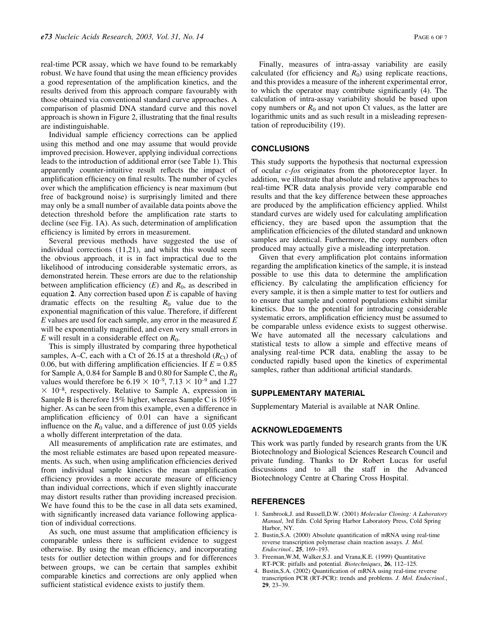real-time PCR assay, which we have found to be remarkably robust. We have found that using the mean efficiency provides a good representation of the amplification kinetics, and the results derived from this approach compare favourably with those obtained via conventional standard curve approaches. A comparison of plasmid DNA standard curve and this novel approach is shown in Figure 2, illustrating that the final results are indistinguishable.

Individual sample efficiency corrections can be applied using this method and one may assume that would provide improved precision. However, applying individual corrections leads to the introduction of additional error (see Table 1). This apparently counter-intuitive result reflects the impact of amplification efficiency on final results. The number of cycles over which the amplification efficiency is near maximum (but free of background noise) is surprisingly limited and there may only be a small number of available data points above the detection threshold before the amplification rate starts to decline (see Fig. 1A). As such, determination of amplification efficiency is limited by errors in measurement.

Several previous methods have suggested the use of individual corrections (11,21), and whilst this would seem the obvious approach, it is in fact impractical due to the likelihood of introducing considerable systematic errors, as demonstrated herein. These errors are due to the relationship between amplification efficiency  $(E)$  and  $R_0$ , as described in equation 2. Any correction based upon  $E$  is capable of having dramatic effects on the resulting  $R_0$  value due to the exponential magnification of this value. Therefore, if different  $E$  values are used for each sample, any error in the measured  $E$ will be exponentially magnified, and even very small errors in  $E$  will result in a considerable effect on  $R_0$ .

This is simply illustrated by comparing three hypothetical samples, A–C, each with a Ct of 26.15 at a threshold  $(R<sub>Ch</sub>)$  of 0.06, but with differing amplification efficiencies. If  $E = 0.85$ for Sample A, 0.84 for Sample B and 0.80 for Sample C, the  $R_0$ values would therefore be  $6.19 \times 10^{-9}$ ,  $7.13 \times 10^{-9}$  and 1.27  $\times$  10<sup>-8</sup>, respectively. Relative to Sample A, expression in Sample B is therefore 15% higher, whereas Sample C is 105% higher. As can be seen from this example, even a difference in amplification efficiency of  $0.01$  can have a significant influence on the  $R_0$  value, and a difference of just 0.05 yields a wholly different interpretation of the data.

All measurements of amplification rate are estimates, and the most reliable estimates are based upon repeated measurements. As such, when using amplification efficiencies derived from individual sample kinetics the mean amplification efficiency provides a more accurate measure of efficiency than individual corrections, which if even slightly inaccurate may distort results rather than providing increased precision. We have found this to be the case in all data sets examined, with significantly increased data variance following application of individual corrections.

As such, one must assume that amplification efficiency is comparable unless there is sufficient evidence to suggest otherwise. By using the mean efficiency, and incorporating tests for outlier detection within groups and for differences between groups, we can be certain that samples exhibit comparable kinetics and corrections are only applied when sufficient statistical evidence exists to justify them.

Finally, measures of intra-assay variability are easily calculated (for efficiency and  $R_0$ ) using replicate reactions, and this provides a measure of the inherent experimental error, to which the operator may contribute significantly (4). The calculation of intra-assay variability should be based upon copy numbers or  $R_0$  and not upon Ct values, as the latter are logarithmic units and as such result in a misleading representation of reproducibility (19).

# CONCLUSIONS

This study supports the hypothesis that nocturnal expression of ocular c-fos originates from the photoreceptor layer. In addition, we illustrate that absolute and relative approaches to real-time PCR data analysis provide very comparable end results and that the key difference between these approaches are produced by the amplification efficiency applied. Whilst standard curves are widely used for calculating amplification efficiency, they are based upon the assumption that the amplification efficiencies of the diluted standard and unknown samples are identical. Furthermore, the copy numbers often produced may actually give a misleading interpretation.

Given that every amplification plot contains information regarding the amplification kinetics of the sample, it is instead possible to use this data to determine the amplification efficiency. By calculating the amplification efficiency for every sample, it is then a simple matter to test for outliers and to ensure that sample and control populations exhibit similar kinetics. Due to the potential for introducing considerable systematic errors, amplification efficiency must be assumed to be comparable unless evidence exists to suggest otherwise. We have automated all the necessary calculations and statistical tests to allow a simple and effective means of analysing real-time PCR data, enabling the assay to be conducted rapidly based upon the kinetics of experimental samples, rather than additional artificial standards.

#### SUPPLEMENTARY MATERIAL

Supplementary Material is available at NAR Online.

## ACKNOWLEDGEMENTS

This work was partly funded by research grants from the UK Biotechnology and Biological Sciences Research Council and private funding. Thanks to Dr Robert Lucas for useful discussions and to all the staff in the Advanced Biotechnology Centre at Charing Cross Hospital.

#### **REFERENCES**

- 1. Sambrook,J. and Russell,D.W. (2001) Molecular Cloning: A Laboratory Manual, 3rd Edn. Cold Spring Harbor Laboratory Press, Cold Spring Harbor, NY.
- 2. Bustin, S.A. (2000) Absolute quantification of mRNA using real-time reverse transcription polymerase chain reaction assays. J. Mol. Endocrinol., 25, 169-193.
- 3. Freeman,W.M, Walker,S.J. and Vrana,K.E. (1999) Quantitative RT-PCR: pitfalls and potential. Biotechniques, 26, 112-125.
- 4. Bustin, S.A. (2002) Quantification of mRNA using real-time reverse transcription PCR (RT-PCR): trends and problems. J. Mol. Endocrinol.,  $29.23-39.$